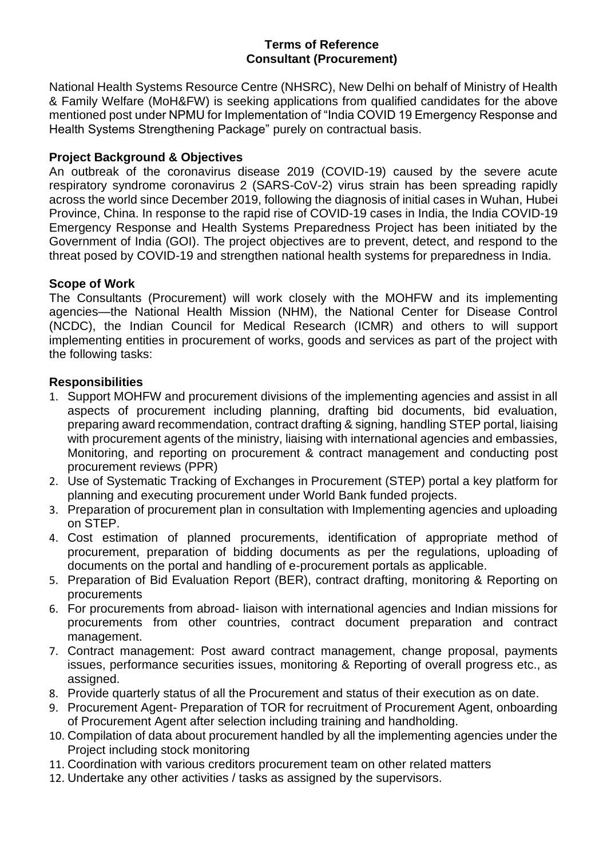### **Terms of Reference Consultant (Procurement)**

National Health Systems Resource Centre (NHSRC), New Delhi on behalf of Ministry of Health & Family Welfare (MoH&FW) is seeking applications from qualified candidates for the above mentioned post under NPMU for Implementation of "India COVID 19 Emergency Response and Health Systems Strengthening Package" purely on contractual basis.

### **Project Background & Objectives**

An outbreak of the coronavirus disease 2019 (COVID-19) caused by the severe acute respiratory syndrome coronavirus 2 (SARS-CoV-2) virus strain has been spreading rapidly across the world since December 2019, following the diagnosis of initial cases in Wuhan, Hubei Province, China. In response to the rapid rise of COVID-19 cases in India, the India COVID-19 Emergency Response and Health Systems Preparedness Project has been initiated by the Government of India (GOI). The project objectives are to prevent, detect, and respond to the threat posed by COVID-19 and strengthen national health systems for preparedness in India.

## **Scope of Work**

The Consultants (Procurement) will work closely with the MOHFW and its implementing agencies—the National Health Mission (NHM), the National Center for Disease Control (NCDC), the Indian Council for Medical Research (ICMR) and others to will support implementing entities in procurement of works, goods and services as part of the project with the following tasks:

### **Responsibilities**

- 1. Support MOHFW and procurement divisions of the implementing agencies and assist in all aspects of procurement including planning, drafting bid documents, bid evaluation, preparing award recommendation, contract drafting & signing, handling STEP portal, liaising with procurement agents of the ministry, liaising with international agencies and embassies, Monitoring, and reporting on procurement & contract management and conducting post procurement reviews (PPR)
- 2. Use of Systematic Tracking of Exchanges in Procurement (STEP) portal a key platform for planning and executing procurement under World Bank funded projects.
- 3. Preparation of procurement plan in consultation with Implementing agencies and uploading on STEP.
- 4. Cost estimation of planned procurements, identification of appropriate method of procurement, preparation of bidding documents as per the regulations, uploading of documents on the portal and handling of e-procurement portals as applicable.
- 5. Preparation of Bid Evaluation Report (BER), contract drafting, monitoring & Reporting on procurements
- 6. For procurements from abroad- liaison with international agencies and Indian missions for procurements from other countries, contract document preparation and contract management.
- 7. Contract management: Post award contract management, change proposal, payments issues, performance securities issues, monitoring & Reporting of overall progress etc., as assigned.
- 8. Provide quarterly status of all the Procurement and status of their execution as on date.
- 9. Procurement Agent- Preparation of TOR for recruitment of Procurement Agent, onboarding of Procurement Agent after selection including training and handholding.
- 10. Compilation of data about procurement handled by all the implementing agencies under the Project including stock monitoring
- 11. Coordination with various creditors procurement team on other related matters
- 12. Undertake any other activities / tasks as assigned by the supervisors.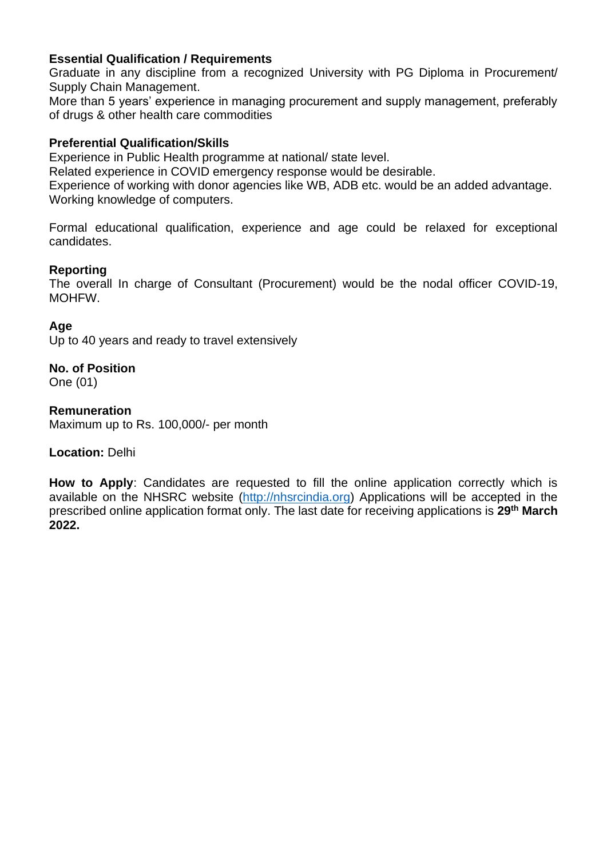### **Essential Qualification / Requirements**

Graduate in any discipline from a recognized University with PG Diploma in Procurement/ Supply Chain Management.

More than 5 years' experience in managing procurement and supply management, preferably of drugs & other health care commodities

#### **Preferential Qualification/Skills**

Experience in Public Health programme at national/ state level.

Related experience in COVID emergency response would be desirable.

Experience of working with donor agencies like WB, ADB etc. would be an added advantage. Working knowledge of computers.

Formal educational qualification, experience and age could be relaxed for exceptional candidates.

#### **Reporting**

The overall In charge of Consultant (Procurement) would be the nodal officer COVID-19, MOHFW.

#### **Age**

Up to 40 years and ready to travel extensively

### **No. of Position**

One (01)

### **Remuneration**

Maximum up to Rs. 100,000/- per month

#### **Location:** Delhi

**How to Apply**: Candidates are requested to fill the online application correctly which is available on the NHSRC website [\(http://nhsrcindia.org\)](http://nhsrcindia.org/) Applications will be accepted in the prescribed online application format only. The last date for receiving applications is **29th March 2022.**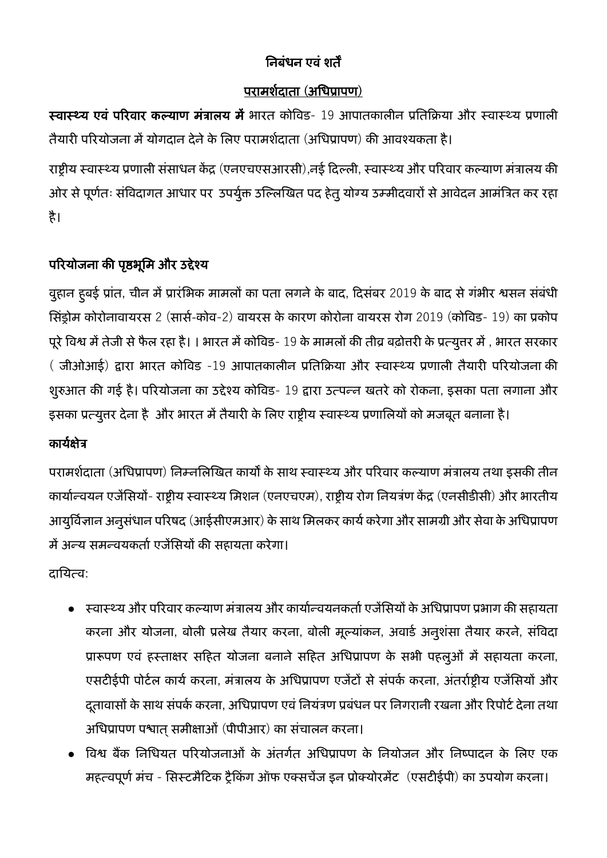# निबंधन एवं शर्तें

## परामशशदार्ता **(**अनधप्रापण**)**

स्वास्थ्य एवं परिवार कल्याण मंत्रालय में भारत कोविड- 19 आपातकालीन प्रतिक्रिया और स्वास्थ्य प्रणाली तैयारी परियोजना में योगदान देने के लिए परामर्शदाता (अधिप्रापण) की आवश्यकता है।

राष्ट्रीय स्वास्थ्य प्रणाली संसाधन केंद्र (एनएचएसआरसी),नई दिल्ली, स्वास्थ्य और परिवार कल्याण मंत्रालय की ओर से पूर्णतः संविदागत आधार पर उपर्युक्त उल्लिखित पद हेतु योग्य उम्मीदवारों से आवेदन आमंत्रित कर रहा है।

# परियोजना की पृष्ठभूमि और उद्देश्य

वुहान हुबई प्रांत, चीन में प्रारंभिक मामलों का पता लगने के बाद, दिसंबर 2019 के बाद से गंभीर श्वसन संबंधी सिंड्रोम कोरोनावायरस 2 (सार्स-कोव-2) वायरस के कारण कोरोना वायरस रोग 2019 (कोविड- 19) का प्रकोप पूरे विश्व में तेजी से फैल रहा है। । भारत में कोविड- 19 के मामलों की तीव्र बढ़ोत्तरी के प्रत्युत्तर में , भारत सरकार ( जीओआई) द्वारा भारत कोविड -19 आपातकालीन प्रतिक्रिया और स्वास्थ्य प्रणाली तैयारी परियोजना की शुरुआत की गई है। परियोजना का उद्देश्य कोविड- 19 द्वारा उत्पन्न खतरे को रोकना, इसका पता लगाना और इसका प्रत्युत्तर देना है और भारत में तैयारी के लिए राष्ट्रीय स्वास्थ्य प्रणालियों को मजबूत बनाना है।

# कायशक्षेत्र

परामर्शदाता (अधिप्रापण) निम्नलिखित कार्यों के साथ स्वास्थ्य और परिवार कल्याण मंत्रालय तथा इसकी तीन कार्यान्वयन एजेंसियों- राष्ट्रीय स्वास्थ्य मिशन (एनएचएम), राष्ट्रीय रोग नियत्रंण केंद्र (एनसीडीसी) और भारतीय आयुर्विज्ञान अनुसंधान परिषद (आईसीएमआर) के साथ मिलकर कार्य करेगा और सामग्री और सेवा के अधिप्रापण में अन्य समन्वयकर्ता एजेंसियों की सहायता करेगा।

दायित्व:

- स्वास्थ्य और परिवार कल्याण मंत्रालय और कार्यान्वयनकर्ता एजेंसियों के अधिप्रापण प्रभाग की सहायता करना और योजना, बोली प्रलेख तैयार करना, बोली मूल्यांकन, अवार्ड अनुशंसा तैयार करने, संविदा प्रारूपण एवं हस्ताक्षर सहित योजना बनाने सहित अधिप्रापण के सभी पहलूओं में सहायता करना, एसटीईपी पोर्टल कार्य करना, मंत्रालय के अधिप्रापण एजेंटों से संपर्क करना, अंतर्राष्ट्रीय एजेंसियों और दूतावासों के साथ संपर्क करना, अधिप्रापण एवं नियंत्रण प्रबंधन पर निगरानी रखना और रिपोर्ट देना तथा अधिप्रापण पश्चात् समीक्षाओं (पीपीआर) का संचालन करना।
- िविश्व बैंक निधियत परियोजनाओं के अंतर्गत अधिप्रापण के नियोजन और निष्पादन के लिए एक महत्वपूर्ण मंच - सिस्टमैटिक ट्रैकिंग ऑफ एक्सचेंज इन प्रोक्योरमेंट (एसटीईपी) का उपयोग करना।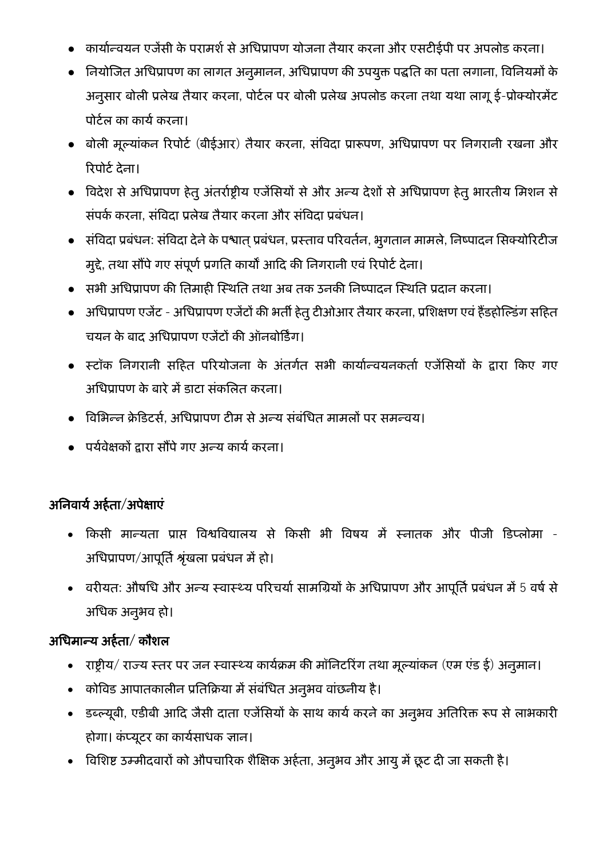- कार्यान्वयन एजेंसी के परामर्श से अधिप्रापण योजना तैयार करना और एसटीईपी पर अपलोड करना।
- नियोजित अधिप्रापण का लागत अनुमानन, अधिप्रापण की उपयुक्त पद्धति का पता लगाना, विनियमों के अनुसार बोली प्रलेख तैयार करना, पोर्टल पर बोली प्रलेख अपलोड करना तथा यथा लागू ई-प्रोक्योरमेंट पोर्टल का कार्य करता।
- बोली मूल्यांकन रिपोर्ट (बीईआर) तैयार करना, संविदा प्रारूपण, अधिप्रापण पर निगरानी रखना और रिपोर्ट देना।
- विदेश से अधिप्रापण हेतु अंतर्राष्ट्रीय एजेंसियों से और अन्य देशों से अधिप्रापण हेतु भारतीय मिशन से संपर्क करना, संविदा प्रलेख तैयार करना और संविदा प्रबंधन।
- संविदा प्रबंधन: संविदा देने के पश्वात् प्रबंधन, प्रस्ताव परिवर्तन, भुगतान मामले, निष्पादन सिक्योरिटीज मुद्दे, तथा सौंपे गए संपूर्ण प्रगति कार्यों आदि की निगरानी एवं रिपोर्ट देना।
- सभी अधिप्रापण की तिमाही स्थिति तथा अब तक उनकी निष्पादन स्थिति प्रदान करना।
- अधिप्रापण एजेंट अधिप्रापण एजेंटों की भर्ती हेतु टीओआर तैयार करना, प्रशिक्षण एवं हैंडहोल्डिंग सहित चयन के बाद अधिप्रापण एजेंटों की ऑनबोर्डिंग।
- स्टॉक निगरानी सहित परियोजना के अंतर्गत सभी कार्यान्वयनकर्ता एजेंसियों के द्वारा किए गए अधिप्रापण के बारे में डाटा संकलित करना।
- विभिन्न क्रेडिटर्स, अधिप्रापण टीम से अन्य संबंधित मामलों पर समन्वय।
- पर्यवेक्षकों द्वारा सौंपे गए अन्य कार्य करना।

# अनिवार्य अर्हता/अपेक्षाएं

- क्रकसी मान्यर्ता प्राप्त ववश्वववद्यालय से क्रकसी भी ववषय में स्िार्तक और पीजी क्रडप्लोमा अधिप्रापण/आपूर्ति श्रृंखला प्रबंधन में हो।
- वरीयत: औषधि और अन्य स्वास्थ्य परिचर्या सामग्रियों के अधिप्रापण और आपूर्ति प्रबंधन में 5 वर्ष से अधिक अनुभव हो।

# अनधमान्य अहशर्ता**/** कौशल

- राष्ट्रीय/ राज्य स्तर पर जन स्वास्थ्य कार्यक्रम की मॉनिटरिंग तथा मूल्यांकन (एम एंड ई) अनुमान।
- कोविड आपातकालीन प्रतिक्रिया में संबंधित अनुभव वांछनीय है।
- डब्ल्यूबी, एडीबी आदि जैसी दाता एजेंसियों के साथ कार्य करने का अनुभव अतिरिक्त रूप से लाभकारी होगा। कंप्यूटर का कार्यसाधक ज्ञान।
- विशिष्ट उम्मीदवारों को औपचारिक शैक्षिक अर्हता, अनुभव और आयु में छूट दी जा सकती है।